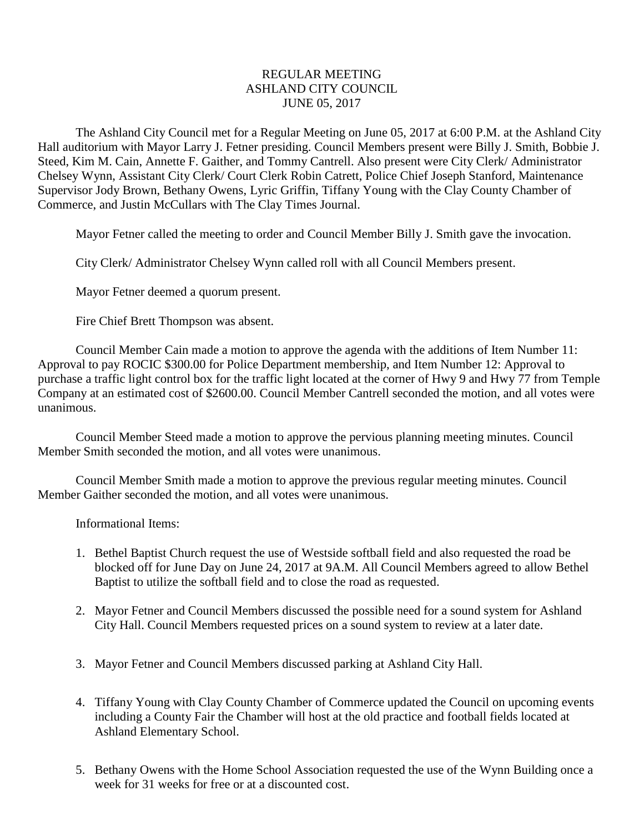## REGULAR MEETING ASHLAND CITY COUNCIL JUNE 05, 2017

The Ashland City Council met for a Regular Meeting on June 05, 2017 at 6:00 P.M. at the Ashland City Hall auditorium with Mayor Larry J. Fetner presiding. Council Members present were Billy J. Smith, Bobbie J. Steed, Kim M. Cain, Annette F. Gaither, and Tommy Cantrell. Also present were City Clerk/ Administrator Chelsey Wynn, Assistant City Clerk/ Court Clerk Robin Catrett, Police Chief Joseph Stanford, Maintenance Supervisor Jody Brown, Bethany Owens, Lyric Griffin, Tiffany Young with the Clay County Chamber of Commerce, and Justin McCullars with The Clay Times Journal.

Mayor Fetner called the meeting to order and Council Member Billy J. Smith gave the invocation.

City Clerk/ Administrator Chelsey Wynn called roll with all Council Members present.

Mayor Fetner deemed a quorum present.

Fire Chief Brett Thompson was absent.

Council Member Cain made a motion to approve the agenda with the additions of Item Number 11: Approval to pay ROCIC \$300.00 for Police Department membership, and Item Number 12: Approval to purchase a traffic light control box for the traffic light located at the corner of Hwy 9 and Hwy 77 from Temple Company at an estimated cost of \$2600.00. Council Member Cantrell seconded the motion, and all votes were unanimous.

Council Member Steed made a motion to approve the pervious planning meeting minutes. Council Member Smith seconded the motion, and all votes were unanimous.

Council Member Smith made a motion to approve the previous regular meeting minutes. Council Member Gaither seconded the motion, and all votes were unanimous.

Informational Items:

- 1. Bethel Baptist Church request the use of Westside softball field and also requested the road be blocked off for June Day on June 24, 2017 at 9A.M. All Council Members agreed to allow Bethel Baptist to utilize the softball field and to close the road as requested.
- 2. Mayor Fetner and Council Members discussed the possible need for a sound system for Ashland City Hall. Council Members requested prices on a sound system to review at a later date.
- 3. Mayor Fetner and Council Members discussed parking at Ashland City Hall.
- 4. Tiffany Young with Clay County Chamber of Commerce updated the Council on upcoming events including a County Fair the Chamber will host at the old practice and football fields located at Ashland Elementary School.
- 5. Bethany Owens with the Home School Association requested the use of the Wynn Building once a week for 31 weeks for free or at a discounted cost.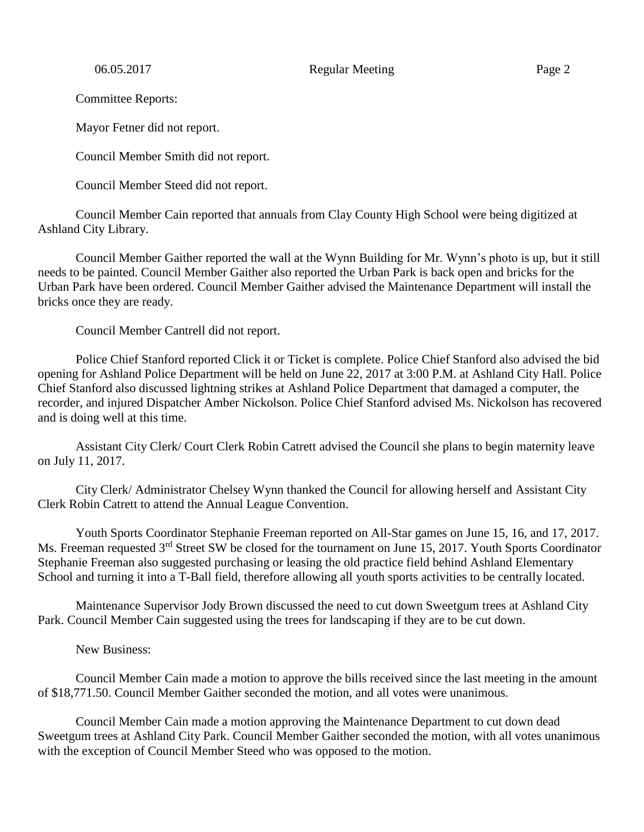06.05.2017 Regular Meeting Page 2

Committee Reports:

Mayor Fetner did not report.

Council Member Smith did not report.

Council Member Steed did not report.

Council Member Cain reported that annuals from Clay County High School were being digitized at Ashland City Library.

Council Member Gaither reported the wall at the Wynn Building for Mr. Wynn's photo is up, but it still needs to be painted. Council Member Gaither also reported the Urban Park is back open and bricks for the Urban Park have been ordered. Council Member Gaither advised the Maintenance Department will install the bricks once they are ready.

Council Member Cantrell did not report.

Police Chief Stanford reported Click it or Ticket is complete. Police Chief Stanford also advised the bid opening for Ashland Police Department will be held on June 22, 2017 at 3:00 P.M. at Ashland City Hall. Police Chief Stanford also discussed lightning strikes at Ashland Police Department that damaged a computer, the recorder, and injured Dispatcher Amber Nickolson. Police Chief Stanford advised Ms. Nickolson has recovered and is doing well at this time.

Assistant City Clerk/ Court Clerk Robin Catrett advised the Council she plans to begin maternity leave on July 11, 2017.

City Clerk/ Administrator Chelsey Wynn thanked the Council for allowing herself and Assistant City Clerk Robin Catrett to attend the Annual League Convention.

Youth Sports Coordinator Stephanie Freeman reported on All-Star games on June 15, 16, and 17, 2017. Ms. Freeman requested 3<sup>rd</sup> Street SW be closed for the tournament on June 15, 2017. Youth Sports Coordinator Stephanie Freeman also suggested purchasing or leasing the old practice field behind Ashland Elementary School and turning it into a T-Ball field, therefore allowing all youth sports activities to be centrally located.

Maintenance Supervisor Jody Brown discussed the need to cut down Sweetgum trees at Ashland City Park. Council Member Cain suggested using the trees for landscaping if they are to be cut down.

New Business:

Council Member Cain made a motion to approve the bills received since the last meeting in the amount of \$18,771.50. Council Member Gaither seconded the motion, and all votes were unanimous.

Council Member Cain made a motion approving the Maintenance Department to cut down dead Sweetgum trees at Ashland City Park. Council Member Gaither seconded the motion, with all votes unanimous with the exception of Council Member Steed who was opposed to the motion.